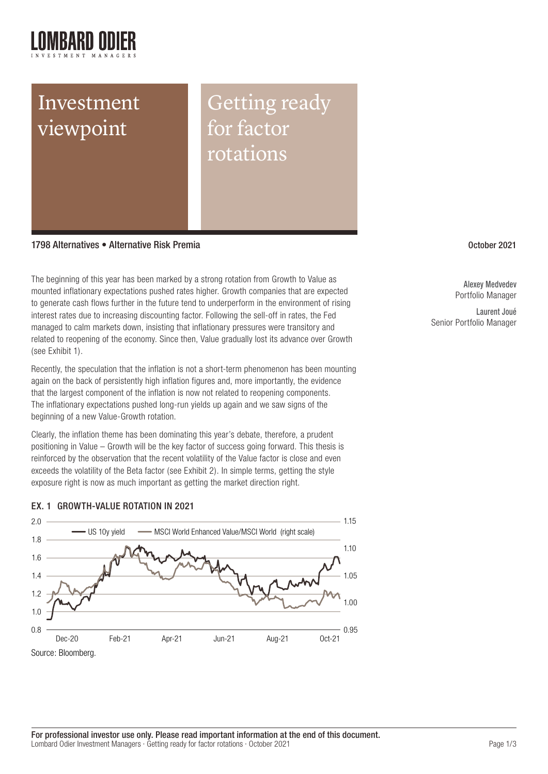

# Investment viewpoint

Getting ready for factor rotations

1798 Alternatives ● Alternative Risk Premia October 2021 Number 2021 Number 2021

The beginning of this year has been marked by a strong rotation from Growth to Value as mounted inflationary expectations pushed rates higher. Growth companies that are expected to generate cash flows further in the future tend to underperform in the environment of rising interest rates due to increasing discounting factor. Following the sell-off in rates, the Fed managed to calm markets down, insisting that inflationary pressures were transitory and related to reopening of the economy. Since then, Value gradually lost its advance over Growth (see Exhibit 1).

Recently, the speculation that the inflation is not a short-term phenomenon has been mounting again on the back of persistently high inflation figures and, more importantly, the evidence that the largest component of the inflation is now not related to reopening components. The inflationary expectations pushed long-run yields up again and we saw signs of the beginning of a new Value-Growth rotation.

Clearly, the inflation theme has been dominating this year's debate, therefore, a prudent positioning in Value – Growth will be the key factor of success going forward. This thesis is reinforced by the observation that the recent volatility of the Value factor is close and even exceeds the volatility of the Beta factor (see Exhibit 2). In simple terms, getting the style exposure right is now as much important as getting the market direction right.

# EX. 1 GROWTH-VALUE ROTATION IN 2021



Alexey Medvedev Portfolio Manager

Laurent Joué Senior Portfolio Manager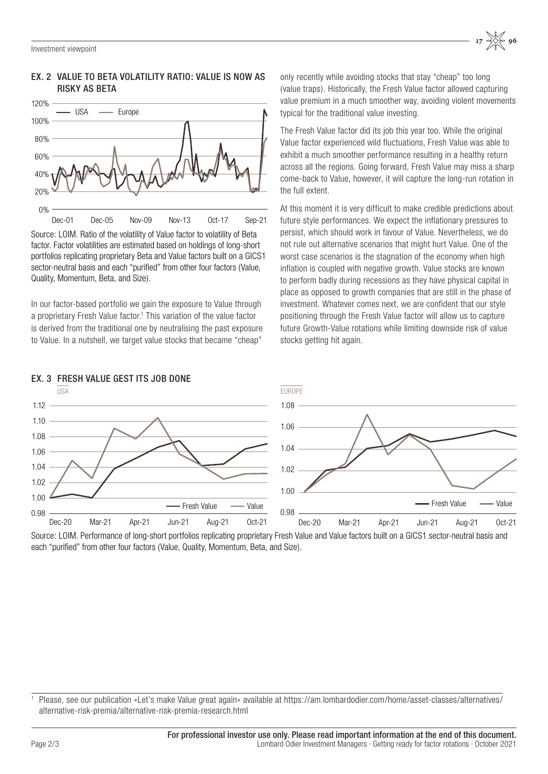# EX. 2 VALUE TO BETA VOLATILITY RATIO: VALUE IS NOW AS RISKY AS BETA



Source: LOIM. Ratio of the volatility of Value factor to volatility of Beta factor. Factor volatilities are estimated based on holdings of long-short portfolios replicating proprietary Beta and Value factors built on a GICS1 sector-neutral basis and each "purified" from other four factors (Value, Quality, Momentum, Beta, and Size).

In our factor-based portfolio we gain the exposure to Value through a proprietary Fresh Value factor.<sup>1</sup> This variation of the value factor is derived from the traditional one by neutralising the past exposure to Value. In a nutshell, we target value stocks that became "cheap"

only recently while avoiding stocks that stay "cheap" too long (value traps). Historically, the Fresh Value factor allowed capturing value premium in a much smoother way, avoiding violent movements typical for the traditional value investing.

The Fresh Value factor did its job this year too. While the original Value factor experienced wild fluctuations, Fresh Value was able to exhibit a much smoother performance resulting in a healthy return across all the regions. Going forward, Fresh Value may miss a sharp come-back to Value, however, it will capture the long-run rotation in the full extent.

At this moment it is very difficult to make credible predictions about future style performances. We expect the inflationary pressures to persist, which should work in favour of Value. Nevertheless, we do not rule out alternative scenarios that might hurt Value. One of the worst case scenarios is the stagnation of the economy when high inflation is coupled with negative growth. Value stocks are known to perform badly during recessions as they have physical capital in place as opposed to growth companies that are still in the phase of investment. Whatever comes next, we are confident that our style positioning through the Fresh Value factor will allow us to capture future Growth-Value rotations while limiting downside risk of value stocks getting hit again.



Source: LOIM. Performance of long-short portfolios replicating proprietary Fresh Value and Value factors built on a GICS1 sector-neutral basis and each "purified" from other four factors (Value, Quality, Momentum, Beta, and Size).

<sup>1</sup> Please, see our publication «Let's make Value great again» available at https://am.lombardodier.com/home/asset-classes/alternatives/ alternative-risk-premia/alternative-risk-premia-research.html

# EX. 3 FRESH VALUE GEST ITS JOB DONE